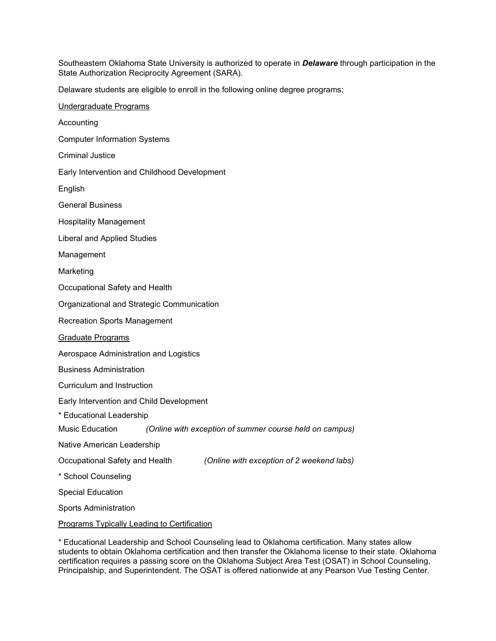Southeastern Oklahoma State University is authorized to operate in *Delaware* through participation in the State Authorization Reciprocity Agreement (SARA).

Delaware students are eligible to enroll in the following online degree programs:

| Undergraduate Programs                                                      |
|-----------------------------------------------------------------------------|
| Accounting                                                                  |
| <b>Computer Information Systems</b>                                         |
| <b>Criminal Justice</b>                                                     |
| Early Intervention and Childhood Development                                |
| English                                                                     |
| <b>General Business</b>                                                     |
| <b>Hospitality Management</b>                                               |
| <b>Liberal and Applied Studies</b>                                          |
| Management                                                                  |
| Marketing                                                                   |
| Occupational Safety and Health                                              |
| Organizational and Strategic Communication                                  |
| <b>Recreation Sports Management</b>                                         |
| <u>Graduate Programs</u>                                                    |
| Aerospace Administration and Logistics                                      |
| <b>Business Administration</b>                                              |
| Curriculum and Instruction                                                  |
| Early Intervention and Child Development                                    |
| * Educational Leadership                                                    |
| Music Education<br>(Online with exception of summer course held on campus)  |
| Native American Leadership                                                  |
| Occupational Safety and Health<br>(Online with exception of 2 weekend labs) |
| * School Counseling                                                         |
| <b>Special Education</b>                                                    |
| <b>Sports Administration</b>                                                |
| <b>Programs Typically Leading to Certification</b>                          |

\* Educational Leadership and School Counseling lead to Oklahoma certification. Many states allow students to obtain Oklahoma certification and then transfer the Oklahoma license to their state. Oklahoma certification requires a passing score on the Oklahoma Subject Area Test (OSAT) in School Counseling, Principalship, and Superintendent. The OSAT is offered nationwide at any Pearson Vue Testing Center.